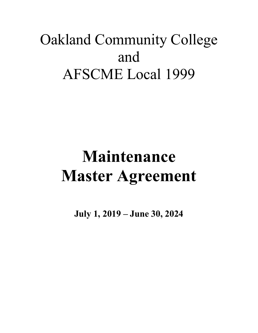# Oakland Community College and AFSCME Local 1999

# **Maintenance Master Agreement**

**July 1, 2019 – June 30, 2024**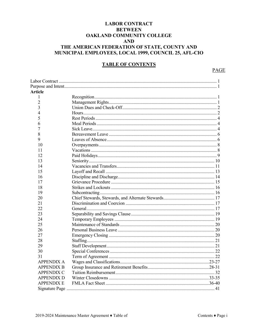#### **LABOR CONTRACT BETWEEN** OAKLAND COMMUNITY COLLEGE **AND** THE AMERICAN FEDERATION OF STATE, COUNTY AND MUNICIPAL EMPLOYEES, LOCAL 1999, COUNCIL 25, AFL-CIO

#### **TABLE OF CONTENTS**

PAGE

| <b>Article</b>    |  |
|-------------------|--|
| 1                 |  |
| 2                 |  |
| 3                 |  |
| 4                 |  |
| 5                 |  |
| 6                 |  |
| 7                 |  |
| 8                 |  |
| 9                 |  |
| 10                |  |
| 11                |  |
| 12                |  |
| 13                |  |
| 14                |  |
| 15                |  |
| 16                |  |
| 17                |  |
| 18                |  |
| 19                |  |
| 20                |  |
| 21                |  |
| 22                |  |
| 23                |  |
| 24                |  |
| 25                |  |
| 26                |  |
| 27                |  |
| 28                |  |
| 29                |  |
| 30                |  |
| 31                |  |
| <b>APPENDIX A</b> |  |
| <b>APPENDIX B</b> |  |
| <b>APPENDIX C</b> |  |
| APPENDIX D        |  |
| <b>APPENDIX E</b> |  |
|                   |  |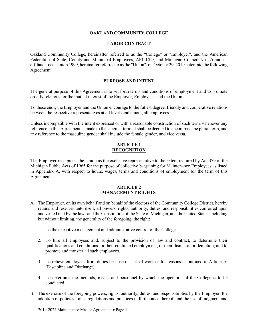#### **OAKLAND COMMUNITY COLLEGE**

#### **LABOR CONTRACT**

Oakland Community College, hereinafter referred to as the "College" or "Employer", and the American Federation of State, County and Municipal Employees, AFL-CIO, and Michigan Council No. 25 and its affiliate Local Union 1999, hereinafter referred to as the "Union", on October 29, 2019 enter into the following Agreement:

#### **PURPOSE AND INTENT**

The general purpose of this Agreement is to set forth terms and conditions of employment and to promote orderly relations for the mutual interest of the Employer, Employees, and the Union.

To these ends, the Employer and the Union encourage to the fullest degree, friendly and cooperative relations between the respective representatives at all levels and among all employees.

Unless incompatible with the intent expressed or with a reasonable construction of such term, whenever any reference in this Agreement is made to the singular term, it shall be deemed to encompass the plural term, and any reference to the masculine gender shall include the female gender, and vice versa.

#### **ARTICLE 1 RECOGNITION**

The Employer recognizes the Union as the exclusive representative to the extent required by Act 379 of the Michigan Public Acts of 1965 for the purpose of collective bargaining for Maintenance Employees as listed in Appendix A, with respect to hours, wages, terms and conditions of employment for the term of this Agreement.

#### **ARTICLE 2 MANAGEMENT RIGHTS**

- A. The Employer, on its own behalf and on behalf of the electors of the Community College District, hereby retains and reserves unto itself, all powers, rights, authority, duties, and responsibilities conferred upon and vested in it by the laws and the Constitution of the State of Michigan, and the United States, including but without limiting, the generality of the foregoing, the right:
	- 1. To the executive management and administrative control of the College.
	- 2. To hire all employees and, subject to the provision of law and contract, to determine their qualifications and conditions for their continued employment, or their dismissal or demotion; and to promote and transfer all such employees.
	- 3. To relieve employees from duties because of lack of work or for reasons as outlined in Article 16 (Discipline and Discharge).
	- 4. To determine the methods, means and personnel by which the operation of the College is to be conducted.
- B. The exercise of the foregoing powers, rights, authority, duties, and responsibilities by the Employer, the adoption of policies, rules, regulations and practices in furtherance thereof, and the use of judgment and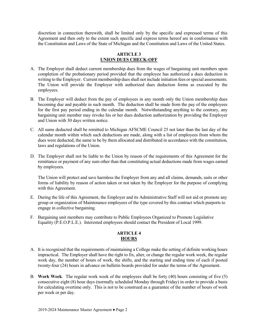discretion in connection therewith, shall be limited only by the specific and expressed terms of this Agreement and then only to the extent such specific and express terms hereof are in conformance with the Constitution and Laws of the State of Michigan and the Constitution and Laws of the United States.

#### **ARTICLE 3 UNION DUES CHECK-OFF**

- A. The Employer shall deduct current membership dues from the wages of bargaining unit members upon completion of the probationary period provided that the employee has authorized a dues deduction in writing to the Employer. Current membership dues shall not include initiation fees or special assessments. The Union will provide the Employer with authorized dues deduction forms as executed by the employees.
- B. The Employer will deduct from the pay of employees in any month only the Union membership dues becoming due and payable in such month. The deduction shall be made from the pay of the employees for the first pay period ending in the calendar month. Notwithstanding anything to the contrary, any bargaining unit member may revoke his or her dues deduction authorization by providing the Employer and Union with 30 days written notice.
- C. All sums deducted shall be remitted to Michigan AFSCME Council 25 not later than the last day of the calendar month within which such deductions are made, along with a list of employees from whom the dues were deducted, the same to be by them allocated and distributed in accordance with the constitution, laws and regulations of the Union.
- D. The Employer shall not be liable to the Union by reason of the requirements of this Agreement for the remittance or payment of any sum other than that constituting actual deductions made from wages earned by employees.

The Union will protect and save harmless the Employer from any and all claims, demands, suits or other forms of liability by reason of action taken or not taken by the Employer for the purpose of complying with this Agreement.

- E. During the life of this Agreement, the Employer and its Administrative Staff will not aid or promote any group or organization of Maintenance employees of the type covered by this contract which purports to engage in collective bargaining.
- F. Bargaining unit members may contribute to Public Employees Organized to Promote Legislative Equality (P.E.O.P.L.E.). Interested employees should contact the President of Local 1999.

#### **ARTICLE 4 HOURS**

- A. It is recognized that the requirements of maintaining a College make the setting of definite working hours impractical. The Employer shall have the right to fix, alter, or change the regular work week, the regular work day, the number of hours of work, the shifts, and the starting and ending time of each if posted twenty-four (24) hours in advance on bulletin boards provided for under the terms of the Agreement.
- B. **Work Week**. The regular work week of the employees shall be forty (40) hours consisting of five (5) consecutive eight (8) hour days (normally scheduled Monday through Friday) in order to provide a basis for calculating overtime only. This is not to be construed as a guarantee of the number of hours of work per week or per day.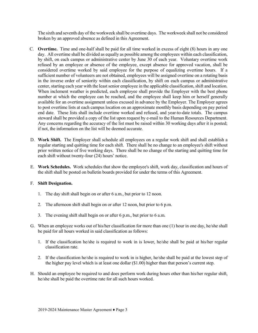The sixth and seventh day of the workweek shall be overtime days. The workweek shall not be considered broken by an approved absence as defined in this Agreement.

- C. **Overtime.** Time and one-half shall be paid for all time worked in excess of eight (8) hours in any one day. All overtime shall be divided as equally as possible among the employees within each classification, by shift, on each campus or administrative center by June 30 of each year. Voluntary overtime work refused by an employee or absence of the employee, except absence for approved vacation, shall be considered overtime worked by said employee for the purpose of equalizing overtime hours. If a sufficient number of volunteers are not obtained, employees will be assigned overtime on a rotating basis in the inverse order of seniority within each classification, by shift on each campus or administrative center, starting each year with the least senior employee in the applicable classification, shift and location. When inclement weather is predicted, each employee shall provide the Employer with the best phone number at which the employee can be reached, and the employee shall keep him or herself generally available for an overtime assignment unless excused in advance by the Employer. The Employer agrees to post overtime lists at each campus location on an approximate monthly basis depending on pay period end date. These lists shall include overtime worked and refused, and year-to-date totals. The campus steward shall be provided a copy of the list upon request by e-mail to the Human Resources Department. Any concerns regarding the accuracy of the list must be raised within 30 working days after it is posted; if not, the information on the list will be deemed accurate.
- D. **Work Shift.** The Employer shall schedule all employees on a regular work shift and shall establish a regular starting and quitting time for each shift. There shall be no change to an employee's shift without prior written notice of five working days. There shall be no change of the starting and quitting time for each shift without twenty-four (24) hours' notice.
- E. **Work Schedules.** Work schedules that show the employee's shift, work day, classification and hours of the shift shall be posted on bulletin boards provided for under the terms of this Agreement.

#### F. **Shift Designation.**

- 1. The day shift shall begin on or after 6 a.m., but prior to 12 noon.
- 2. The afternoon shift shall begin on or after 12 noon, but prior to 6 p.m.
- 3. The evening shift shall begin on or after 6 p.m., but prior to 6 a.m.
- G. When an employee works out of his/her classification for more than one (1) hour in one day, he/she shall be paid for all hours worked in said classification as follows:
	- 1. If the classification he/she is required to work in is lower, he/she shall be paid at his/her regular classification rate.
	- 2. If the classification he/she is required to work in is higher, he/she shall be paid at the lowest step of the higher pay level which is at least one dollar (\$1.00) higher than that person's current step.
- H. Should an employee be required to and does perform work during hours other than his/her regular shift, he/she shall be paid the overtime rate for all such hours worked.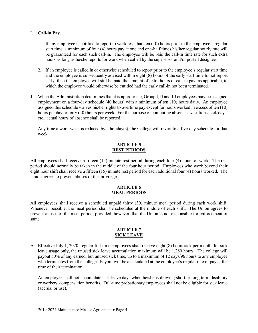#### I. **Call-in Pay.**

- 1. If any employee is notified to report to work less than ten (10) hours prior to the employee's regular start time, a minimum of four (4) hours pay at one and one-half times his/her regular hourly rate will be guaranteed for each such call-in. The employee will be paid the call-in time rate for such extra hours as long as he/she reports for work when called by the supervisor and/or posted designee.
- 2. If an employee is called in or otherwise scheduled to report prior to the employee's regular start time and the employee is subsequently advised within eight (8) hours of the early start time to not report early, then the employee will still be paid the amount of extra hours or call-in pay, as applicable, to which the employee would otherwise be entitled had the early call-in not been terminated.
- J. When the Administration determines that it is appropriate, Group I, II and III employees may be assigned employment on a four-day schedule (40 hours) with a minimum of ten (10) hours daily. An employee assigned this schedule waives his/her rights to overtime pay except for hours worked in excess of ten (10) hours per day or forty (40) hours per week. For the purpose of computing absences, vacations, sick days, etc., actual hours of absence shall be reported.

Any time a work week is reduced by a holiday(s), the College will revert to a five-day schedule for that week.

#### **ARTICLE 5 REST PERIODS**

All employees shall receive a fifteen (15) minute rest period during each four (4) hours of work. The rest period should normally be taken in the middle of the four hour period. Employees who work beyond their eight hour shift shall receive a fifteen (15) minute rest period for each additional four (4) hours worked. The Union agrees to prevent abuses of this privilege.

#### **ARTICLE 6 MEAL PERIODS**

All employees shall receive a scheduled unpaid thirty (30) minute meal period during each work shift. Whenever possible, the meal period shall be scheduled at the middle of each shift. The Union agrees to prevent abuses of the meal period, provided, however, that the Union is not responsible for enforcement of same.

#### **ARTICLE 7 SICK LEAVE**

A. Effective July 1, 2020, regular full-time employees shall receive eight (8) hours sick per month, for sick leave usage only, the unused sick leave accumulation maximum will be 1,280 hours. The college will payout 50% of any earned, but unused sick time, up to a maximum of 12 days/96 hours to any employee who terminates from the college. Payout will be a calculated at the employee's regular rate of pay at the time of their termination.

An employee shall not accumulate sick leave days when he/she is drawing short or long-term disability or workers' compensation benefits. Full-time probationary employees shall not be eligible for sick leave (accrual or use).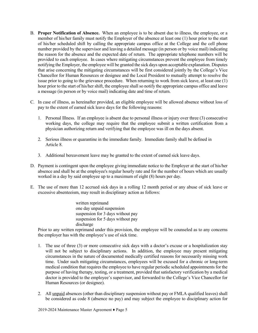- B. **Proper Notification of Absence.** When an employee is to be absent due to illness, the employee, or a member of his/her family must notify the Employer of the absence at least one (1) hour prior to the start of his/her scheduled shift by calling the appropriate campus office at the College and the cell phone number provided by the supervisor and leaving a detailed message (in person or by voice mail) indicating the reason for the absence and the expected date of return. The appropriate telephone numbers will be provided to each employee. In cases where mitigating circumstances prevent the employee from timely notifying the Employer, the employee will be granted the sick days upon acceptable explanation. Disputes that arise concerning the mitigating circumstances will be first considered jointly by the College's Vice Chancellor for Human Resources or designee and the Local President to mutually attempt to resolve the issue prior to going to the grievance procedure. When returning to work from sick leave, at least one (1) hour prior to the start of his/her shift, the employee shall so notify the appropriate campus office and leave a message (in person or by voice mail) indicating date and time of return.
- C. In case of illness, as hereinafter provided, an eligible employee will be allowed absence without loss of pay to the extent of earned sick leave days for the following reasons:
	- 1. Personal Illness. If an employee is absent due to personal illness or injury over three (3) consecutive working days, the college may require that the employee submit a written certification from a physician authorizing return and verifying that the employee was ill on the days absent.
	- 2. Serious illness or quarantine in the immediate family. Immediate family shall be defined in Article 8.
	- 3. Additional bereavement leave may be granted to the extent of earned sick leave days.
- D. Payment is contingent upon the employee giving immediate notice to the Employer at the start of his/her absence and shall be at the employee's regular hourly rate and for the number of hours which are usually worked in a day by said employee up to a maximum of eight (8) hours per day.
- E. The use of more than 12 accrued sick days in a rolling 12 month period or any abuse of sick leave or excessive absenteeism, may result in disciplinary action as follows:

written reprimand one day unpaid suspension suspension for 3 days without pay suspension for 5 days without pay discharge

Prior to any written reprimand under this provision, the employee will be counseled as to any concerns the employer has with the employee's use of sick time.

- 1. The use of three (3) or more consecutive sick days with a doctor's excuse or a hospitalization stay will not be subject to disciplinary actions. In addition, the employee may present mitigating circumstances in the nature of documented medically certified reasons for necessarily missing work time. Under such mitigating circumstances, employees will be excused for a chronic or long-term medical condition that requires the employee to have regular periodic scheduled appointments for the purpose of having therapy, testing, or a treatment, provided that satisfactory verification by a medical doctor is provided to the employee's supervisor, and forwarded to the College's Vice Chancellor for Human Resources (or designee).
- 2. All unpaid absences (other than disciplinary suspension without pay or FMLA qualified leaves) shall be considered as code 8 (absence no pay) and may subject the employee to disciplinary action for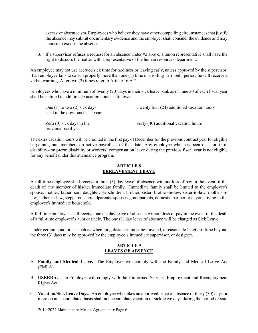excessive absenteeism. Employees who believe they have other compelling circumstances that justify the absence may submit documentary evidence and the employer shall consider the evidence and may choose to excuse the absence.

3. If a supervisor refuses a request for an absence under #2 above, a union representative shall have the right to discuss the matter with a representative of the human resources department.

An employee may not use accrued sick time for tardiness or leaving early, unless approved by the supervisor. If an employee fails to call-in properly more than one (1) time in a rolling 12-month period*,* he will receive a verbal warning. After two (2) times refer to Article 16 A-2.

Employees who have a minimum of twenty (20) days in their sick leave bank as of June 30 of each fiscal year shall be entitled to additional vacation hours as follows:

| One $(1)$ to two $(2)$ sick days<br>used in the previous fiscal year | Twenty four (24) additional vacation hours |
|----------------------------------------------------------------------|--------------------------------------------|
| Zero $(0)$ sick days in the<br>previous fiscal year                  | Forty (40) additional vacation hours       |

The extra vacation hours will be credited in the first pay of December for the previous contract year for eligible bargaining unit members on active payroll as of that date. Any employee who has been on short-term disability, long-term disability or workers' compensation leave during the previous fiscal year is not eligible for any benefit under this attendance program.

#### **ARTICLE 8 BEREAVEMENT LEAVE**

A full-time employee shall receive a three (3) day leave of absence without loss of pay in the event of the death of any member of his/her immediate family. Immediate family shall be limited to the employee's spouse, mother, father, son, daughter, stepchildren, brother, sister, brother-in-law, sister-in-law, mother-inlaw, father-in-law, stepparents, grandparents, spouse's grandparents, domestic partner or anyone living in the employee's immediate household.

A full-time employee shall receive one (1) day leave of absence without loss of pay in the event of the death of a full-time employee's aunt or uncle. The one (1) day leave of absence will be charged as Sick Leave.

Under certain conditions, such as when long distances must be traveled, a reasonable length of time beyond the three (3) days may be approved by the employee's immediate supervisor, or designee.

#### **ARTICLE 9 LEAVES OF ABSENCE**

- A. **Family and Medical Leave.** The Employer will comply with the Family and Medical Leave Act (FMLA).
- B. **USERRA.** The Employer will comply with the Uniformed Services Employment and Reemployment Rights Act.
- C. **Vacation/Sick Leave Days.** An employee who takes an approved leave of absence of thirty (30) days or more on an accumulated basis shall not accumulate vacation or sick leave days during the period of said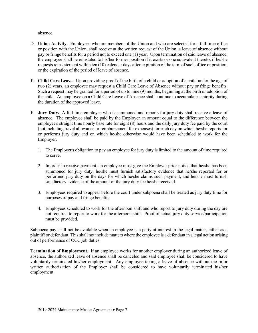absence.

- D. **Union Activity.** Employees who are members of the Union and who are selected for a full-time office or position with the Union, shall receive at the written request of the Union, a leave of absence without pay or fringe benefits for a period not to exceed one (1) year. Upon termination of said leave of absence, the employee shall be reinstated to his/her former position if it exists or one equivalent thereto, if he/she requests reinstatement within ten (10) calendar days after expiration of the term of such office or position, or the expiration of the period of leave of absence.
- **E. Child Care Leave.** Upon providing proof of the birth of a child or adoption of a child under the age of two (2) years, an employee may request a Child Care Leave of Absence without pay or fringe benefits. Such a request may be granted for a period of up to nine (9) months, beginning at the birth or adoption of the child. An employee on a Child Care Leave of Absence shall continue to accumulate seniority during the duration of the approved leave.
- **F**. **Jury Duty.** A full-time employee who is summoned and reports for jury duty shall receive a leave of absence. The employee shall be paid by the Employer an amount equal to the difference between the employee's straight time hourly base rate for eight (8) hours and the daily jury duty fee paid by the court (not including travel allowance or reimbursement for expenses) for each day on which he/she reports for or performs jury duty and on which he/she otherwise would have been scheduled to work for the Employer.
	- 1. The Employer's obligation to pay an employee for jury duty is limited to the amount of time required to serve.
	- 2. In order to receive payment, an employee must give the Employer prior notice that he/she has been summoned for jury duty; he/she must furnish satisfactory evidence that he/she reported for or performed jury duty on the days for which he/she claims such payment, and he/she must furnish satisfactory evidence of the amount of the jury duty fee he/she received.
	- 3. Employees required to appear before the court under subpoena shall be treated as jury duty time for purposes of pay and fringe benefits.
	- 4. Employees scheduled to work for the afternoon shift and who report to jury duty during the day are not required to report to work for the afternoon shift. Proof of actual jury duty service/participation must be provided.

Subpoena pay shall not be available when an employee is a party-at-interest in the legal matter, either as a plaintiff or defendant. This shall not include matters where the employee is a defendant in a legal action arising out of performance of OCC job duties.

**Termination of Employment.** If an employee works for another employer during an authorized leave of absence, the authorized leave of absence shall be canceled and said employee shall be considered to have voluntarily terminated his/her employment. Any employee taking a leave of absence without the prior written authorization of the Employer shall be considered to have voluntarily terminated his/her employment.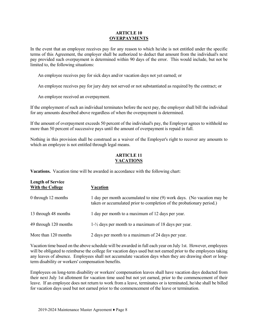#### **ARTICLE 10 OVERPAYMENTS**

In the event that an employee receives pay for any reason to which he/she is not entitled under the specific terms of this Agreement, the employer shall be authorized to deduct that amount from the individual's next pay provided such overpayment is determined within 90 days of the error. This would include, but not be limited to, the following situations:

An employee receives pay for sick days and/or vacation days not yet earned; or

An employee receives pay for jury duty not served or not substantiated as required by the contract; or

An employee received an overpayment.

If the employment of such an individual terminates before the next pay, the employer shall bill the individual for any amounts described above regardless of when the overpayment is determined.

If the amount of overpayment exceeds 50 percent of the individual's pay, the Employer agrees to withhold no more than 50 percent of successive pays until the amount of overpayment is repaid in full.

Nothing in this provision shall be construed as a waiver of the Employer's right to recover any amounts to which an employee is not entitled through legal means.

#### **ARTICLE 11 VACATIONS**

**Vacations.** Vacation time will be awarded in accordance with the following chart:

| <b>Length of Service</b><br>With the College | Vacation                                                                                                                                        |
|----------------------------------------------|-------------------------------------------------------------------------------------------------------------------------------------------------|
| 0 through 12 months                          | 1 day per month accumulated to nine (9) work days. (No vacation may be<br>taken or accumulated prior to completion of the probationary period.) |
| 13 through 48 months                         | 1 day per month to a maximum of 12 days per year.                                                                                               |
| 49 through 120 months                        | $1-\frac{1}{2}$ days per month to a maximum of 18 days per year.                                                                                |
| More than 120 months                         | 2 days per month to a maximum of 24 days per year.                                                                                              |

Vacation time based on the above schedule will be awarded in full each year on July 1st. However, employees will be obligated to reimburse the college for vacation days used but not earned prior to the employees taking any leaves of absence. Employees shall not accumulate vacation days when they are drawing short or longterm disability or workers' compensation benefits.

Employees on long-term disability or workers' compensation leaves shall have vacation days deducted from their next July 1st allotment for vacation time used but not yet earned, prior to the commencement of their leave. If an employee does not return to work from a leave, terminates or is terminated, he/she shall be billed for vacation days used but not earned prior to the commencement of the leave or termination.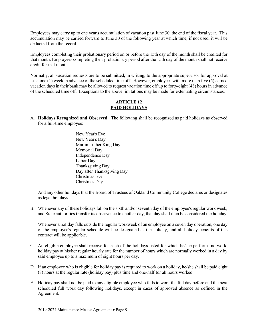Employees may carry up to one year's accumulation of vacation past June 30, the end of the fiscal year. This accumulation may be carried forward to June 30 of the following year at which time, if not used, it will be deducted from the record.

Employees completing their probationary period on or before the 15th day of the month shall be credited for that month. Employees completing their probationary period after the 15th day of the month shall not receive credit for that month.

Normally, all vacation requests are to be submitted, in writing, to the appropriate supervisor for approval at least one (1) week in advance of the scheduled time off. However, employees with more than five (5) earned vacation days in their bank may be allowed to request vacation time off up to forty-eight (48) hours in advance of the scheduled time off. Exceptions to the above limitations may be made for extenuating circumstances.

#### **ARTICLE 12 PAID HOLIDAYS**

- A. **Holidays Recognized and Observed.** The following shall be recognized as paid holidays as observed for a full-time employee:
	- New Year's Eve New Year's Day Martin Luther King Day Memorial Day Independence Day Labor Day Thanksgiving Day Day after Thanksgiving Day Christmas Eve Christmas Day

And any other holidays that the Board of Trustees of Oakland Community College declares or designates as legal holidays.

B. Whenever any of these holidays fall on the sixth and/or seventh day of the employee's regular work week, and State authorities transfer its observance to another day, that day shall then be considered the holiday.

Whenever a holiday falls outside the regular workweek of an employee on a seven day operation, one day of the employee's regular schedule will be designated as the holiday, and all holiday benefits of this contract will be applicable.

- C. An eligible employee shall receive for each of the holidays listed for which he/she performs no work, holiday pay at his/her regular hourly rate for the number of hours which are normally worked in a day by said employee up to a maximum of eight hours per day.
- D. If an employee who is eligible for holiday pay is required to work on a holiday, he/she shall be paid eight (8) hours at the regular rate (holiday pay) plus time and one-half for all hours worked.
- E. Holiday pay shall not be paid to any eligible employee who fails to work the full day before and the next scheduled full work day following holidays, except in cases of approved absence as defined in the Agreement.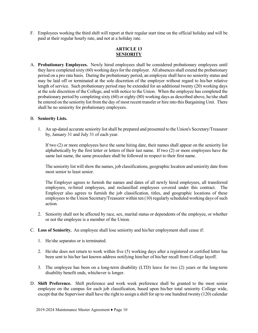F. Employees working the third shift will report at their regular start time on the official holiday and will be paid at their regular hourly rate, and not at a holiday rate.

#### **ARTICLE 13 SENIORITY**

A. **Probationary Employees.** Newly hired employees shall be considered probationary employees until they have completed sixty (60) working days for the employer. All absences shall extend the probationary period on a pro rata basis. During the probationary period, an employee shall have no seniority status and may be laid off or terminated at the sole discretion of the employer without regard to his/her relative length of service. Such probationary period may be extended for an additional twenty (20) working days at the sole discretion of the College, and with notice to the Union. When the employee has completed the probationary period by completing sixty (60) or eighty (80) working days as described above, he/she shall be entered on the seniority list from the day of most recent transfer or hire into this Bargaining Unit. There shall be no seniority for probationary employees.

#### B. **Seniority Lists.**

1. An up-dated accurate seniority list shall be prepared and presented to the Union's Secretary/Treasurer by, January 31 and July 31 of each year.

If two (2) or more employees have the same hiring date, their names shall appear on the seniority list alphabetically by the first letter or letters of their last name. If two (2) or more employees have the same last name, the same procedure shall be followed in respect to their first name.

The seniority list will show the names, job classifications, geographic location and seniority date from most senior to least senior.

The Employer agrees to furnish the names and dates of all newly hired employees, all transferred employees, re-hired employees, and reclassified employees covered under this contract. The Employer also agrees to furnish the job classification, titles, and geographic locations of these employees to the Union Secretary/Treasurer within ten (10) regularly scheduled working days of such action.

- 2. Seniority shall not be affected by race, sex, marital status or dependents of the employee, or whether or not the employee is a member of the Union.
- C. **Loss of Seniority.** An employee shall lose seniority and his/her employment shall cease if:
	- 1. He/she separates or is terminated.
	- 2. He/she does not return to work within five (5) working days after a registered or certified letter has been sent to his/her last known address notifying him/her of his/her recall from College layoff.
	- 3. The employee has been on a long-term disability (LTD) leave for two (2) years or the long-term disability benefit ends, whichever is longer.
- D. **Shift Preference.** Shift preference and work week preference shall be granted to the most senior employee on the campus for each job classification, based upon his/her total seniority College wide, except that the Supervisor shall have the right to assign a shift for up to one hundred twenty (120) calendar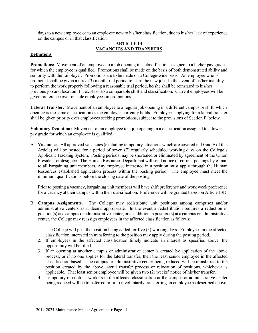days to a new employee or to an employee new to his/her classification, due to his/her lack of experience on the campus or in that classification.

#### **ARTICLE 14 VACANCIES AND TRANSFERS**

#### **Definitions**

**Promotions:** Movement of an employee to a job opening in a classification assigned to a higher pay grade for which the employee is qualified. Promotions shall be made on the basis of both demonstrated ability and seniority with the Employer. Promotions are to be made on a College-wide basis. An employee who is promoted shall be given a three (3) month trial period to learn the new job. In the event of his/her inability to perform the work properly following a reasonable trial period, he/she shall be reinstated to his/her previous job and location if it exists or to a comparable shift and classification. Current employees will be given preference over outside employees in promotions.

**Lateral Transfer:** Movement of an employee to a regular job opening in a different campus or shift, which opening is the same classification as the employee currently holds. Employees applying for a lateral transfer shall be given priority over employees seeking promotions, subject to the provisions of Section F, below.

**Voluntary Demotion:** Movement of an employee to a job opening in a classification assigned to a lower pay grade for which an employee is qualified.

A. **Vacancies.** All approved vacancies (excluding temporary situations which are covered in D and E of this Article) will be posted for a period of seven (7) regularly scheduled working days on the College's Applicant Tracking System. Posting periods may be shortened or eliminated by agreement of the Union President or designee. The Human Resources Department will send notice of current postings by e-mail to all bargaining unit members. Any employee interested in a position must apply through the Human Resources established application process within the posting period. The employee must meet the minimum qualifications before the closing date of the posting.

Prior to posting a vacancy, bargaining unit members will have shift preference and work week preference for a vacancy at their campus within their classification. Preference will be granted based on Article 13D.

- B. **Campus Assignments.** The College may redistribute unit positions among campuses and/or administrative centers as it deems appropriate. In the event a redistribution requires a reduction in position(s) at a campus or administrative center, or an addition in position(s) at a campus or administrative center, the College may reassign employees in the affected classification as follows:
	- 1. The College will post the position being added for five (5) working days. Employees in the affected classification interested in transferring to the position may apply during the posting period.
	- 2. If employees in the affected classification timely indicate an interest as specified above, the opportunity will be filled.
	- 3. If an opening at another campus or administrative center is created by application of the above process, or if no one applies for the lateral transfer, then the least senior employee in the affected classification based at the campus or administrative center being reduced will be transferred to the position created by the above lateral transfer process or relocation of positions, whichever is applicable. That least senior employee will be given two (2) weeks' notice of his/her transfer.
	- 4. Temporary or contract workers in the affected classification at the campus or administrative center being reduced will be transferred prior to involuntarily transferring an employee as described above.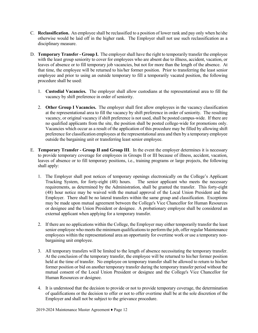- C. **Reclassification.** An employee shall be reclassified to a position of lower rank and pay only when he/she otherwise would be laid off in the higher rank. The Employer shall not use such reclassification as a disciplinary measure.
- D. **Temporary Transfer - Group I.** The employer shall have the right to temporarily transfer the employee with the least group seniority to cover for employees who are absent due to illness, accident, vacation, or leaves of absence or to fill temporary job vacancies, but not for more than the length of the absence. At that time, the employee will be returned to his/her former position. Prior to transferring the least senior employee and prior to using an outside temporary to fill a temporarily vacated position, the following procedure shall be used:
	- 1. **Custodial Vacancies.** The employer shall allow custodians at the representational area to fill the vacancy by shift preference in order of seniority.
	- 2. **Other Group I Vacancies.** The employer shall first allow employees in the vacancy classification at the representational area to fill the vacancy by shift preference in order of seniority. The resulting vacancy, or original vacancy if shift preference is not used, shall be posted campus-wide. If there are no qualified applicants from the site, the position shall be posted college-wide for promotions only. Vacancies which occur as a result of the application of this procedure may be filled by allowing shift preference for classification employees at the representational area and then by a temporary employee outside the bargaining unit or transferring least senior employee.
- E. **Temporary Transfer - Group II and Group III**. In the event the employer determines it is necessary to provide temporary coverage for employees in Groups II or III because of illness, accident, vacation, leaves of absence or to fill temporary positions, i.e., training programs or large projects, the following shall apply:
	- 1. The Employer shall post notices of temporary openings electronically on the College's Applicant Tracking System, for forty-eight (48) hours. The senior applicant who meets the necessary requirements, as determined by the Administration, shall be granted the transfer. This forty-eight (48) hour notice may be waived with the mutual approval of the Local Union President and the Employer. There shall be no lateral transfers within the same group and classification. Exceptions may be made upon mutual agreement between the College's Vice Chancellor for Human Resources or designee and the Union President or designee. A probationary employee shall be considered an external applicant when applying for a temporary transfer.
	- 2. If there are no applications within the College, the Employer may either temporarily transfer the least senior employee who meets the minimum qualifications to perform the job, offer regular Maintenance employees within the representational area an opportunity for overtime work or use a temporary nonbargaining unit employee.
	- 3. All temporary transfers will be limited to the length of absence necessitating the temporary transfer. At the conclusion of the temporary transfer, the employee will be returned to his/her former position held at the time of transfer. No employee on temporary transfer shall be allowed to return to his/her former position or bid on another temporary transfer during the temporary transfer period without the mutual consent of the Local Union President or designee and the College's Vice Chancellor for Human Resources or designee.
	- 4. It is understood that the decision to provide or not to provide temporary coverage, the determination of qualifications or the decision to offer or not to offer overtime shall be at the sole discretion of the Employer and shall not be subject to the grievance procedure.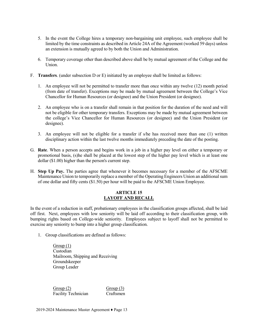- 5. In the event the College hires a temporary non-bargaining unit employee, such employee shall be limited by the time constraints as described in Article 24A of the Agreement (worked 59 days) unless an extension is mutually agreed to by both the Union and Administration.
- 6. Temporary coverage other than described above shall be by mutual agreement of the College and the Union.
- F. **Transfers**. (under subsection D or E) initiated by an employee shall be limited as follows:
	- 1. An employee will not be permitted to transfer more than once within any twelve (12) month period (from date of transfer). Exceptions may be made by mutual agreement between the College's Vice Chancellor for Human Resources (or designee) and the Union President (or designee).
	- 2. An employee who is on a transfer shall remain in that position for the duration of the need and will not be eligible for other temporary transfers. Exceptions may be made by mutual agreement between the college's Vice Chancellor for Human Resources (or designee) and the Union President (or designee).
	- 3. An employee will not be eligible for a transfer if s/he has received more than one (1) written disciplinary action within the last twelve months immediately preceding the date of the posting.
- G. **Rate**. When a person accepts and begins work in a job in a higher pay level on either a temporary or promotional basis, (s)he shall be placed at the lowest step of the higher pay level which is at least one dollar (\$1.00) higher than the person's current step.
- H. **Step Up Pay.** The parties agree that whenever it becomes necessary for a member of the AFSCME Maintenance Union to temporarily replace a member of the Operating Engineers Union an additional sum of one dollar and fifty cents (\$1.50) per hour will be paid to the AFSCME Union Employee.

#### **ARTICLE 15 LAYOFF AND RECALL**

In the event of a reduction in staff, probationary employees in the classification groups affected, shall be laid off first. Next, employees with low seniority will be laid off according to their classification group, with bumping rights based on College-wide seniority. Employees subject to layoff shall not be permitted to exercise any seniority to bump into a higher group classification.

1. Group classifications are defined as follows:

Group (1) Custodian Mailroom, Shipping and Receiving Groundskeeper Group Leader

Group  $(2)$  Group  $(3)$ Facility Technician Craftsmen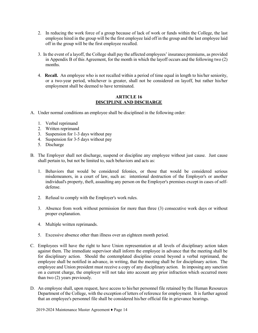- 2. In reducing the work force of a group because of lack of work or funds within the College, the last employee hired in the group will be the first employee laid off in the group and the last employee laid off in the group will be the first employee recalled.
- 3. In the event of a layoff, the College shall pay the affected employees' insurance premiums, as provided in Appendix B of this Agreement, for the month in which the layoff occurs and the following two (2) months.
- 4. **Recall.** An employee who is not recalled within a period of time equal in length to his/her seniority, or a two-year period, whichever is greater, shall not be considered on layoff, but rather his/her employment shall be deemed to have terminated.

#### **ARTICLE 16 DISCIPLINE AND DISCHARGE**

- A. Under normal conditions an employee shall be disciplined in the following order:
	- 1. Verbal reprimand
	- 2. Written reprimand
	- 3. Suspension for 1-3 days without pay
	- 4. Suspension for 3-5 days without pay
	- 5. Discharge
- B. The Employer shall not discharge, suspend or discipline any employee without just cause. Just cause shall pertain to, but not be limited to, such behaviors and acts as:
	- 1. Behaviors that would be considered felonies, or those that would be considered serious misdemeanors, in a court of law, such as: intentional destruction of the Employer's or another individual's property, theft, assaulting any person on the Employer's premises except in cases of selfdefense.
	- 2. Refusal to comply with the Employer's work rules.
	- 3. Absence from work without permission for more than three (3) consecutive work days or without proper explanation.
	- 4. Multiple written reprimands.
	- 5. Excessive absence other than illness over an eighteen month period.
- C. Employees will have the right to have Union representation at all levels of disciplinary action taken against them. The immediate supervisor shall inform the employee in advance that the meeting shall be for disciplinary action. Should the contemplated discipline extend beyond a verbal reprimand, the employee shall be notified in advance, in writing, that the meeting shall be for disciplinary action. The employee and Union president must receive a copy of any disciplinary action. In imposing any sanction on a current charge, the employer will not take into account any prior infraction which occurred more than two (2) years previously.
- D. An employee shall, upon request, have access to his/her personnel file retained by the Human Resources Department of the College, with the exception of letters of reference for employment. It is further agreed that an employee's personnel file shall be considered his/her official file in grievance hearings.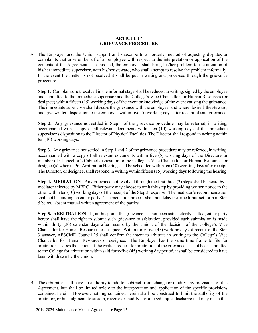#### **ARTICLE 17 GRIEVANCE PROCEDURE**

A. The Employer and the Union support and subscribe to an orderly method of adjusting disputes or complaints that arise on behalf of an employee with respect to the interpretation or application of the contents of the Agreement. To this end, the employee shall bring his/her problem to the attention of his/her immediate supervisor, with his/her steward, who shall attempt to resolve the problem informally. In the event the matter is not resolved it shall be put in writing and processed through the grievance procedure.

**Step 1.** Complaints not resolved in the informal stage shall be reduced to writing, signed by the employee and submitted to the immediate supervisor and the College's Vice Chancellor for Human Resources (or designee) within fifteen (15) working days of the event or knowledge of the event causing the grievance. The immediate supervisor shall discuss the grievance with the employee, and where desired, the steward, and give written disposition to the employee within five (5) working days after receipt of said grievance.

**Step 2.** Any grievance not settled in Step 1 of the grievance procedure may be referred, in writing, accompanied with a copy of all relevant documents within ten (10) working days of the immediate supervisor's disposition to the Director of Physical Facilities. The Director shall respond in writing within ten (10) working days.

**Step 3.** Any grievance not settled in Step 1 and 2 of the grievance procedure may be referred, in writing, accompanied with a copy of all relevant documents within five (5) working days of the Director's or member of Chancellor's Cabinet disposition to the College's Vice Chancellor for Human Resources or designee(s) where a Pre-Arbitration Hearing shall be scheduled within ten (10) working days after receipt. The Director, or designee, shall respond in writing within fifteen (15) working days following the hearing.

**Step 4. MEDIATION** - Any grievance not resolved through the first three (3) steps shall be heard by a mediator selected by MERC. Either party may choose to omit this step by providing written notice to the other within ten (10) working days of the receipt of the Step 3 response. The mediator's recommendation shall not be binding on either party. The mediation process shall not delay the time limits set forth in Step 5 below, absent mutual written agreement of the parties.

**Step 5. ARBITRATION** - If, at this point, the grievance has not been satisfactorily settled, either party hereto shall have the right to submit such grievance to arbitration, provided such submission is made within thirty (30) calendar days after receipt by the Union, of the decision of the College's Vice Chancellor for Human Resources or designee. Within forty-five (45) working days of receipt of the Step 3 answer, AFSCME Council 25 shall confirm the intent to arbitrate in writing to the College's Vice Chancellor for Human Resources or designee. The Employer has the same time frame to file for arbitration as does the Union. If the written request for arbitration of the grievance has not been submitted to the College for arbitration within said forty-five (45) working day period, it shall be considered to have been withdrawn by the Union.

B. The arbitrator shall have no authority to add to, subtract from, change or modify any provisions of this Agreement, but shall be limited solely to the interpretation and application of the specific provisions contained herein. However, nothing contained herein shall be construed to limit the authority of the arbitrator, or his judgment, to sustain, reverse or modify any alleged unjust discharge that may reach this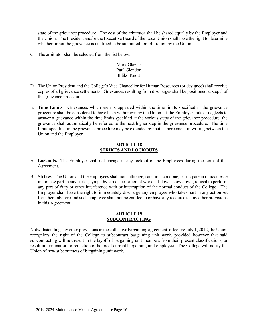state of the grievance procedure. The cost of the arbitrator shall be shared equally by the Employer and the Union. The President and/or the Executive Board of the Local Union shall have the right to determine whether or not the grievance is qualified to be submitted for arbitration by the Union.

C. The arbitrator shall be selected from the list below:

#### Mark Glazier Paul Glendon Ildiko Knott

- D. The Union President and the College's Vice Chancellor for Human Resources (or designee) shall receive copies of all grievance settlements. Grievances resulting from discharges shall be positioned at step 3 of the grievance procedure.
- E. **Time Limits**. Grievances which are not appealed within the time limits specified in the grievance procedure shall be considered to have been withdrawn by the Union. If the Employer fails or neglects to answer a grievance within the time limits specified at the various steps of the grievance procedure, the grievance shall automatically be referred to the next higher step in the grievance procedure. The time limits specified in the grievance procedure may be extended by mutual agreement in writing between the Union and the Employer.

#### **ARTICLE 18 STRIKES AND LOCKOUTS**

- A. **Lockouts.** The Employer shall not engage in any lockout of the Employees during the term of this Agreement.
- B. **Strikes.** The Union and the employees shall not authorize, sanction, condone, participate in or acquiesce in, or take part in any strike, sympathy strike, cessation of work, sit-down, slow down, refusal to perform any part of duty or other interference with or interruption of the normal conduct of the College. The Employer shall have the right to immediately discharge any employee who takes part in any action set forth hereinbefore and such employee shall not be entitled to or have any recourse to any other provisions in this Agreement.

#### **ARTICLE 19 SUBCONTRACTING**

Notwithstanding any other provisions in the collective bargaining agreement, effective July 1, 2012, the Union recognizes the right of the College to subcontract bargaining unit work, provided however that said subcontracting will not result in the layoff of bargaining unit members from their present classifications, or result in termination or reduction of hours of current bargaining unit employees. The College will notify the Union of new subcontracts of bargaining unit work.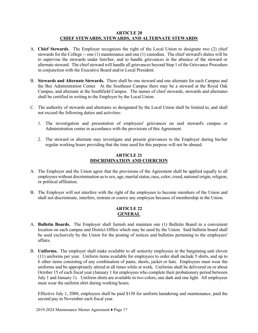#### **ARTICLE 20 CHIEF STEWARDS, STEWARDS, AND ALTERNATE STEWARDS**

- A. **Chief Stewards**. The Employer recognizes the right of the Local Union to designate two (2) chief stewards for the College -- one (1) maintenance and one (1) custodian. The chief steward's duties will be to supervise the stewards under him/her, and to handle grievances in the absence of the steward or alternate steward. The chief steward will handle all grievances beyond Step 1 of the Grievance Procedure in conjunction with the Executive Board and/or Local President.
- B. **Stewards and Alternate Stewards.** There shall be one steward and one alternate for each Campus and the Bee Administration Center. At the Southeast Campus there may be a steward at the Royal Oak Campus, and alternate at the Southfield Campus. The names of chief stewards, stewards and alternates shall be certified in writing to the Employer by the Local Union.
- C. The authority of stewards and alternates so designated by the Local Union shall be limited to, and shall not exceed the following duties and activities:
	- 1. The investigation and presentation of employees' grievances on said steward's campus or Administration center in accordance with the provisions of this Agreement.
	- 2. The steward or alternate may investigate and present grievances to the Employer during his/her regular working hours providing that the time used for this purpose will not be abused.

#### **ARTICLE 21 DISCRIMINATION AND COERCION**

- A. The Employer and the Union agree that the provisions of the Agreement shall be applied equally to all employees without discrimination as to sex, age, marital status, race, color, creed, national origin, religion, or political affiliation.
- B. The Employer will not interfere with the right of the employees to become members of the Union and shall not discriminate, interfere, restrain or coerce any employee because of membership in the Union.

#### **ARTICLE 22 GENERAL**

- A. **Bulletin Boards.** The Employer shall furnish and maintain one (1) Bulletin Board in a convenient location on each campus and District Office which may be used by the Union. Said bulletin board shall be used exclusively by the Union for the posting of notices and bulletins pertaining to the employees' affairs.
- B. **Uniforms.** The employer shall make available to all seniority employees in the bargaining unit eleven (11) uniforms per year. Uniform items available for employees to order shall include 5 shirts, and up to 6 other items consisting of any combination of pants, shorts, jacket or hats. Employees must wear the uniforms and be appropriately attired at all times while at work*.* Uniforms shall be delivered on or about October 15 of each fiscal year (January 1 for employees who complete their probationary period between July 1 and January 1). Uniform shirts are available in two colors, one dark and one light. All employees must wear the uniform shirt during working hours.

Effective July 1, 2008, employees shall be paid \$150 for uniform laundering and maintenance, paid the second pay in November each fiscal year.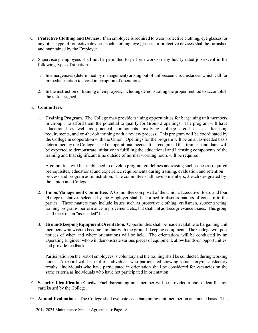- C. **Protective Clothing and Devices.** If an employee is required to wear protective clothing, eye glasses, or any other type of protective devices, such clothing, eye glasses, or protective devices shall be furnished and maintained by the Employer.
- D. Supervisory employees shall not be permitted to perform work on any hourly rated job except in the following types of situations:
	- 1. In emergencies (determined by management) arising out of unforeseen circumstances which call for immediate action to avoid interruption of operations.
	- 2. In the instruction or training of employees, including demonstrating the proper method to accomplish the task assigned.

#### E. **Committees.**

1. **Training Program.** The College may provide training opportunities for bargaining unit members in Group 1 to afford them the potential to qualify for Group 2 openings. The program will have educational as well as practical components involving college credit classes, licensing requirements, and on-the-job training with a review process. This program will be coordinated by the College in cooperation with the Union. Openings for the program will be on an as-needed basis determined by the College based on operational needs. It is recognized that trainee candidates will be expected to demonstrate initiative in fulfilling the educational and licensing components of the training and that significant time outside of normal working hours will be required.

A committee will be established to develop program guidelines addressing such issues as required prerequisites, educational and experience requirements during training, evaluation and retention process and program administration. The committee shall have 6 members, 3 each designated by the Union and College.

- 2. **Union/Management Committee.** A Committee composed of the Union's Executive Board and four (4) representatives selected by the Employer shall be formed to discuss matters of concern to the parties. These matters may include issues such as protective clothing, craftsman, subcontracting, training programs, performance improvement, etc., but shall not address grievance issues. This group shall meet on an "as-needed" basis.
- 3. **Groundskeeping Equipment Orientation.** Opportunities shall be made available to bargaining unit members who wish to become familiar with the grounds keeping equipment. The College will post notices of when and where orientations will be held. The orientations will be conducted by an Operating Engineer who will demonstrate various pieces of equipment, allow hands-on opportunities, and provide feedback.

Participation on the part of employees is voluntary and the training shall be conducted during working hours. A record will be kept of individuals who participated showing satisfactory/unsatisfactory results. Individuals who have participated in orientation shall be considered for vacancies on the same criteria as individuals who have not participated in orientation.

- F. **Security Identification Cards.** Each bargaining unit member will be provided a photo identification card issued by the College.
- G. **Annual Evaluations.** The College shall evaluate each bargaining unit member on an annual basis. The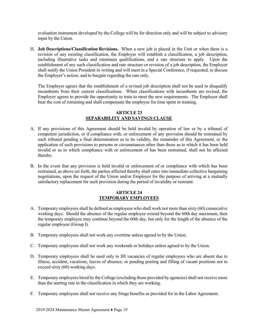evaluation instrument developed by the College will be for direction only and will be subject to advisory input by the Union.

H. **Job Descriptions/Classification Revisions.** When a new job is placed in the Unit or when there is a revision of any existing classification, the Employer will establish a classification, a job description, including illustrative tasks and minimum qualifications, and a rate structure to apply. Upon the establishment of any such classification and rate structure or revision of a job description, the Employer shall notify the Union President in writing and will meet in a Special Conference, if requested, to discuss the Employer's action, and to bargain regarding the rate only.

The Employer agrees that the establishment of a revised job description shall not be used to disqualify incumbents from their current classifications. When classifications with incumbents are revised, the Employer agrees to provide the opportunity to train to meet the new requirements. The Employer shall bear the cost of retraining and shall compensate the employee for time spent in training.

#### **ARTICLE 23 SEPARABILITY AND SAVINGS CLAUSE**

- A. If any provisions of this Agreement should be held invalid by operation of law or by a tribunal of competent jurisdiction, or if compliance with, or enforcement of any provision should be restrained by such tribunal pending a final determination as to its validity, the remainder of this Agreement, or the application of such provisions to persons or circumstances other than those as to which it has been held invalid or as to which compliance with or enforcement of has been restrained, shall not be affected thereby.
- B. In the event that any provision is held invalid or enforcement of or compliance with which has been restrained, as above set forth, the parties affected thereby shall enter into immediate collective bargaining negotiations, upon the request of the Union and/or Employer for the purpose of arriving at a mutually satisfactory replacement for such provision during the period of invalidity or restraint.

#### **ARTICLE 24 TEMPORARY EMPLOYEES**

- A. Temporary employees shall be defined as employees who shall work not more than sixty (60) consecutive working days. Should the absence of the regular employee extend beyond the 60th day maximum, then the temporary employee may continue beyond the 60th day, but only for the length of the absence of the regular employee (Group I).
- B. Temporary employees shall not work any overtime unless agreed to by the Union.
- C. Temporary employees shall not work any weekends or holidays unless agreed to by the Union.
- D. Temporary employees shall be used only to fill vacancies of regular employees who are absent due to illness, accident, vacations, leaves of absence; or pending posting and filling of vacant positions not to exceed sixty (60) working days.
- E. Temporary employees hired by the College (excluding those provided by agencies) shall not receive more than the starting rate in the classification in which they are working.
- F. Temporary employees shall not receive any fringe benefits as provided for in the Labor Agreement.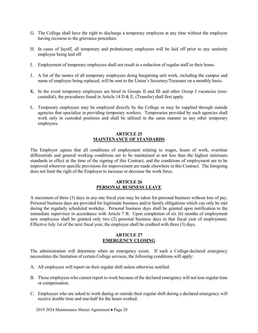- G. The College shall have the right to discharge a temporary employee at any time without the employee having recourse to the grievance procedure.
- H. In cases of layoff, all temporary and probationary employees will be laid off prior to any seniority employee being laid off.
- I. Employment of temporary employees shall not result in a reduction of regular staff or their hours.
- J. A list of the names of all temporary employees doing bargaining unit work, including the campus and name of employee being replaced, will be sent to the Union's Secretary/Treasurer on a monthly basis.
- K. In the event temporary employees are hired in Groups II and III and other Group I vacancies (noncustodial), the procedures found in Article 14 D & E, (Transfer) shall first apply.
- L. Temporary employees may be employed directly by the College or may be supplied through outside agencies that specialize in providing temporary workers. Temporaries provided by such agencies shall work only in custodial positions and shall be utilized in the same manner as any other temporary employees.

#### **ARTICLE 25 MAINTENANCE OF STANDARDS**

The Employer agrees that all conditions of employment relating to wages, hours of work, overtime differentials and general working conditions are to be maintained at not less than the highest minimum standards in effect at the time of the signing of this Contract, and the conditions of employment are to be improved wherever specific provisions for improvement are made elsewhere in this Contract. The foregoing does not limit the right of the Employer to increase or decrease the work force.

#### **ARTICLE 26 PERSONAL BUSINESS LEAVE**

A maximum of three (3) days in any one fiscal year may be taken for personal business without loss of pay. Personal business days are provided for legitimate business and/or family obligations which can only be met during the regularly scheduled workday. Personal business days shall be granted upon notification to the immediate supervisor in accordance with Article 7 B. Upon completion of six (6) months of employment new employees shall be granted only two (2) personal business days in that fiscal year of employment. Effective July 1st of the next fiscal year, the employee shall be credited with three (3) days.

#### **ARTICLE 27 EMERGENCY CLOSING**

The administration will determine when an emergency exists. If such a College-declared emergency necessitates the limitation of certain College services, the following conditions will apply:

- A. All employees will report on their regular shift unless otherwise notified.
- B. Those employees who cannot report to work because of the declared emergency will not lose regular time or compensation.
- C. Employees who are asked to work during or outside their regular shift during a declared emergency will receive double time and one-half for the hours worked.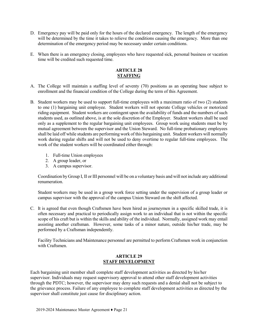- D. Emergency pay will be paid only for the hours of the declared emergency. The length of the emergency will be determined by the time it takes to relieve the conditions causing the emergency. More than one determination of the emergency period may be necessary under certain conditions.
- E. When there is an emergency closing, employees who have requested sick, personal business or vacation time will be credited such requested time.

#### **ARTICLE 28 STAFFING**

- A. The College will maintain a staffing level of seventy (70) positions as an operating base subject to enrollment and the financial condition of the College during the term of this Agreement.
- B. Student workers may be used to support full-time employees with a maximum ratio of two (2) students to one (1) bargaining unit employee. Student workers will not operate College vehicles or motorized riding equipment. Student workers are contingent upon the availability of funds and the numbers of such students used, as outlined above, is at the sole discretion of the Employer. Student workers shall be used only as a supplement to the regular bargaining unit employees. Group work using students must be by mutual agreement between the supervisor and the Union Steward. No full-time probationary employees shall be laid off while students are performing work of this bargaining unit. Student workers will normally work during regular shifts and will not be used to deny overtime to regular full-time employees. The work of the student workers will be coordinated either through:
	- 1. Full-time Union employees
	- 2. A group leader, or
	- 3. A campus supervisor.

Coordination by Group I, II or III personnel will be on a voluntary basis and will not include any additional renumeration.

Student workers may be used in a group work force setting under the supervision of a group leader or campus supervisor with the approval of the campus Union Steward on the shift affected.

C. It is agreed that even though Craftsmen have been hired as journeymen in a specific skilled trade, it is often necessary and practical to periodically assign work to an individual that is not within the specific scope of his craft but is within the skills and ability of the individual. Normally, assigned work may entail assisting another craftsman. However, some tasks of a minor nature, outside his/her trade, may be performed by a Craftsman independently.

Facility Technicians and Maintenance personnel are permitted to perform Craftsmen work in conjunction with Craftsmen.

#### **ARTICLE 29 STAFF DEVELOPMENT**

Each bargaining unit member shall complete staff development activities as directed by his/her supervisor. Individuals may request supervisory approval to attend other staff development activities through the PDTC; however, the supervisor may deny such requests and a denial shall not be subject to the grievance process. Failure of any employee to complete staff development activities as directed by the supervisor shall constitute just cause for disciplinary action.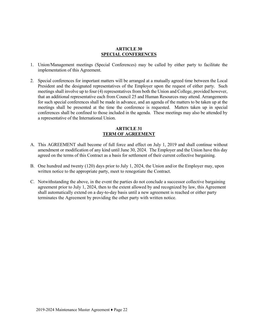#### **ARTICLE 30 SPECIAL CONFERENCES**

- 1. Union/Management meetings (Special Conferences) may be called by either party to facilitate the implementation of this Agreement.
- 2. Special conferences for important matters will be arranged at a mutually agreed time between the Local President and the designated representatives of the Employer upon the request of either party. Such meetings shall involve up to four (4) representatives from both the Union and College, provided however, that an additional representative each from Council 25 and Human Resources may attend. Arrangements for such special conferences shall be made in advance, and an agenda of the matters to be taken up at the meetings shall be presented at the time the conference is requested. Matters taken up in special conferences shall be confined to those included in the agenda. These meetings may also be attended by a representative of the International Union.

#### **ARTICLE 31 TERM OF AGREEMENT**

- A. This AGREEMENT shall become of full force and effect on July 1, 2019 and shall continue without amendment or modification of any kind until June 30, 2024. The Employer and the Union have this day agreed on the terms of this Contract as a basis for settlement of their current collective bargaining.
- B. One hundred and twenty (120) days prior to July 1, 2024, the Union and/or the Employer may, upon written notice to the appropriate party, meet to renegotiate the Contract.
- C. Notwithstanding the above, in the event the parties do not conclude a successor collective bargaining agreement prior to July 1, 2024, then to the extent allowed by and recognized by law, this Agreement shall automatically extend on a day-to-day basis until a new agreement is reached or either party terminates the Agreement by providing the other party with written notice.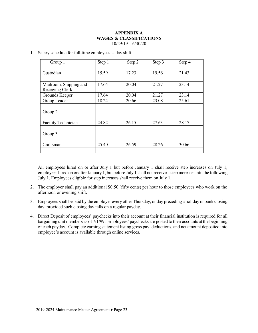#### **APPENDIX A WAGES & CLASSIFICATIONS**  $10/29/19 - 6/30/20$

| Group 1                | Step 1 | Step 2 | Step 3 | Step 4 |
|------------------------|--------|--------|--------|--------|
| Custodian              | 15.59  | 17.23  | 19.56  | 21.43  |
|                        |        |        |        |        |
| Mailroom, Shipping and | 17.64  | 20.04  | 21.27  | 23.14  |
| Receiving Clerk        |        |        |        |        |
| Grounds Keeper         | 17.64  | 20.04  | 21.27  | 23.14  |
| Group Leader           | 18.24  | 20.66  | 23.08  | 25.61  |
|                        |        |        |        |        |
| Group $2$              |        |        |        |        |
| Facility Technician    | 24.82  | 26.15  | 27.63  | 28.17  |
|                        |        |        |        |        |
| Group $3$              |        |        |        |        |
| Craftsman              | 25.40  | 26.59  | 28.26  | 30.66  |
|                        |        |        |        |        |

1. Salary schedule for full-time employees -- day shift.

- 2. The employer shall pay an additional \$0.50 (fifty cents) per hour to those employees who work on the afternoon or evening shift.
- 3. Employees shall be paid by the employer every other Thursday, or day preceding a holiday or bank closing day, provided such closing day falls on a regular payday.
- 4. Direct Deposit of employees' paychecks into their account at their financial institution is required for all bargaining unit members as of 7/1/99. Employees' paychecks are posted to their accounts at the beginning of each payday. Complete earning statement listing gross pay, deductions, and net amount deposited into employee's account is available through online services.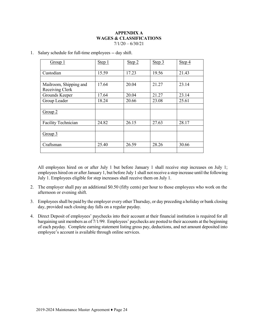#### **APPENDIX A WAGES & CLASSIFICATIONS**  $7/1/20 - 6/30/21$

| Group 1                    | Step 1 | Step 2 | Step 3 | Step 4 |
|----------------------------|--------|--------|--------|--------|
| Custodian                  | 15.59  | 17.23  | 19.56  | 21.43  |
|                            |        |        |        |        |
| Mailroom, Shipping and     | 17.64  | 20.04  | 21.27  | 23.14  |
| Receiving Clerk            |        |        |        |        |
| Grounds Keeper             | 17.64  | 20.04  | 21.27  | 23.14  |
| Group Leader               | 18.24  | 20.66  | 23.08  | 25.61  |
|                            |        |        |        |        |
| Group $2$                  |        |        |        |        |
| <b>Facility Technician</b> | 24.82  | 26.15  | 27.63  | 28.17  |
|                            |        |        |        |        |
| $Group\,3$                 |        |        |        |        |
|                            |        |        |        |        |
| Craftsman                  | 25.40  | 26.59  | 28.26  | 30.66  |
|                            |        |        |        |        |

1. Salary schedule for full-time employees -- day shift.

- 2. The employer shall pay an additional \$0.50 (fifty cents) per hour to those employees who work on the afternoon or evening shift.
- 3. Employees shall be paid by the employer every other Thursday, or day preceding a holiday or bank closing day, provided such closing day falls on a regular payday.
- 4. Direct Deposit of employees' paychecks into their account at their financial institution is required for all bargaining unit members as of 7/1/99. Employees' paychecks are posted to their accounts at the beginning of each payday. Complete earning statement listing gross pay, deductions, and net amount deposited into employee's account is available through online services.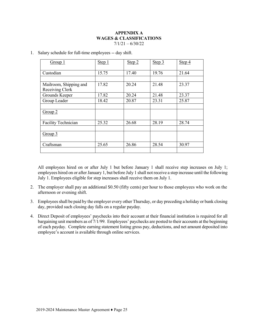#### **APPENDIX A WAGES & CLASSIFICATIONS**  $7/1/21 - 6/30/22$

| Group 1                    | Step 1 | Step 2 | Step 3 | Step 4 |
|----------------------------|--------|--------|--------|--------|
| Custodian                  | 15.75  | 17.40  | 19.76  | 21.64  |
|                            |        |        |        |        |
| Mailroom, Shipping and     | 17.82  | 20.24  | 21.48  | 23.37  |
| Receiving Clerk            |        |        |        |        |
| Grounds Keeper             | 17.82  | 20.24  | 21.48  | 23.37  |
| Group Leader               | 18.42  | 20.87  | 23.31  | 25.87  |
|                            |        |        |        |        |
| Group $2$                  |        |        |        |        |
| <b>Facility Technician</b> | 25.32  | 26.68  | 28.19  | 28.74  |
|                            |        |        |        |        |
| Group $3$                  |        |        |        |        |
| Craftsman                  | 25.65  | 26.86  | 28.54  | 30.97  |
|                            |        |        |        |        |

1. Salary schedule for full-time employees -- day shift.

- 2. The employer shall pay an additional \$0.50 (fifty cents) per hour to those employees who work on the afternoon or evening shift.
- 3. Employees shall be paid by the employer every other Thursday, or day preceding a holiday or bank closing day, provided such closing day falls on a regular payday.
- 4. Direct Deposit of employees' paychecks into their account at their financial institution is required for all bargaining unit members as of 7/1/99. Employees' paychecks are posted to their accounts at the beginning of each payday. Complete earning statement listing gross pay, deductions, and net amount deposited into employee's account is available through online services.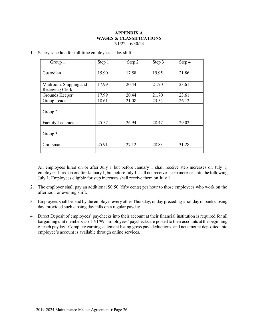#### **APPENDIX A WAGES & CLASSIFICATIONS**  $7/1/22 - 6/30/23$

| Group 1                    | Step 1 | Step 2 | Step 3 | Step 4 |
|----------------------------|--------|--------|--------|--------|
| Custodian                  | 15.90  | 17.58  | 19.95  | 21.86  |
|                            |        |        |        |        |
| Mailroom, Shipping and     | 17.99  | 20.44  | 21.70  | 23.61  |
| Receiving Clerk            |        |        |        |        |
| Grounds Keeper             | 17.99  | 20.44  | 21.70  | 23.61  |
| Group Leader               | 18.61  | 21.08  | 23.54  | 26.12  |
|                            |        |        |        |        |
| Group 2                    |        |        |        |        |
| <b>Facility Technician</b> | 25.57  | 26.94  | 28.47  | 29.02  |
|                            |        |        |        |        |
| Group $3$                  |        |        |        |        |
| Craftsman                  | 25.91  | 27.12  | 28.83  | 31.28  |
|                            |        |        |        |        |

1. Salary schedule for full-time employees -- day shift.

- 2. The employer shall pay an additional \$0.50 (fifty cents) per hour to those employees who work on the afternoon or evening shift.
- 3. Employees shall be paid by the employer every other Thursday, or day preceding a holiday or bank closing day, provided such closing day falls on a regular payday.
- 4. Direct Deposit of employees' paychecks into their account at their financial institution is required for all bargaining unit members as of 7/1/99. Employees' paychecks are posted to their accounts at the beginning of each payday. Complete earning statement listing gross pay, deductions, and net amount deposited into employee's account is available through online services.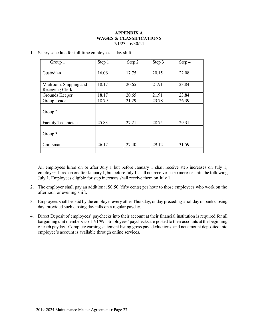#### **APPENDIX A WAGES & CLASSIFICATIONS**  $7/1/23 - 6/30/24$

| Group 1                | Step 1 | Step 2 | Step 3 | Step 4 |
|------------------------|--------|--------|--------|--------|
| Custodian              | 16.06  | 17.75  | 20.15  | 22.08  |
|                        |        |        |        |        |
| Mailroom, Shipping and | 18.17  | 20.65  | 21.91  | 23.84  |
| Receiving Clerk        |        |        |        |        |
| Grounds Keeper         | 18.17  | 20.65  | 21.91  | 23.84  |
| Group Leader           | 18.79  | 21.29  | 23.78  | 26.39  |
|                        |        |        |        |        |
| Group $2$              |        |        |        |        |
| Facility Technician    | 25.83  | 27.21  | 28.75  | 29.31  |
|                        |        |        |        |        |
| $Group\,3$             |        |        |        |        |
| Craftsman              | 26.17  | 27.40  | 29.12  | 31.59  |
|                        |        |        |        |        |

1. Salary schedule for full-time employees -- day shift.

- 2. The employer shall pay an additional \$0.50 (fifty cents) per hour to those employees who work on the afternoon or evening shift.
- 3. Employees shall be paid by the employer every other Thursday, or day preceding a holiday or bank closing day, provided such closing day falls on a regular payday.
- 4. Direct Deposit of employees' paychecks into their account at their financial institution is required for all bargaining unit members as of 7/1/99. Employees' paychecks are posted to their accounts at the beginning of each payday. Complete earning statement listing gross pay, deductions, and net amount deposited into employee's account is available through online services.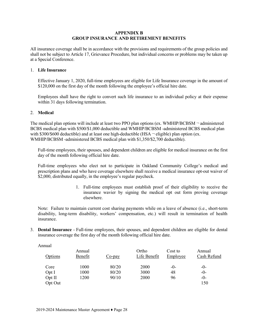#### **APPENDIX B GROUP INSURANCE AND RETIREMENT BENEFITS**

All insurance coverage shall be in accordance with the provisions and requirements of the group policies and shall not be subject to Article 17, Grievance Procedure, but individual concerns or problems may be taken up at a Special Conference.

#### 1. **Life Insurance**

Effective January 1, 2020, full-time employees are eligible for Life Insurance coverage in the amount of \$120,000 on the first day of the month following the employee's official hire date.

Employees shall have the right to convert such life insurance to an individual policy at their expense within 31 days following termination.

#### 2. **Medical**

The medical plan options will include at least two PPO plan options (ex. WMHIP/BCBSM  $\neg$  administered BCBS medical plan with \$500/\$1,000 deductible and WMHIP/BCBSM -administered BCBS medical plan with  $$300/$600$  deductible) and at least one high-deductible (HSA  $\neg$  eligible) plan option (ex. WMHIP/BCBSM -administered BCBS medical plan with \$1,350/\$2,700 deductible).

Full-time employees, their spouses, and dependent children are eligible for medical insurance on the first day of the month following official hire date.

Full-time employees who elect not to participate in Oakland Community College's medical and prescription plans and who have coverage elsewhere shall receive a medical insurance opt-out waiver of \$2,000, distributed equally, in the employee's regular paycheck.

> 1. Full-time employees must establish proof of their eligibility to receive the insurance wavier by signing the medical opt out form proving coverage elsewhere.

Note: Failure to maintain current cost sharing payments while on a leave of absence (i.e., short-term disability, long-term disability, workers' compensation, etc.) will result in termination of health insurance.

3. **Dental Insurance** - Full-time employees, their spouses, and dependent children are eligible for dental insurance coverage the first day of the month following official hire date.

| Annual<br>Cash Refund |
|-----------------------|
| -0-                   |
| $-()$ -               |
| $-0-$                 |
| 150                   |
|                       |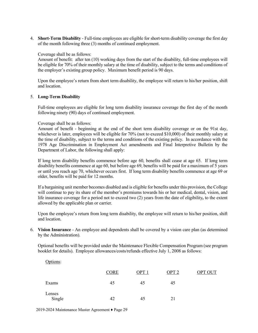4. **Short-Term Disability** - Full-time employees are eligible for short-term disability coverage the first day of the month following three (3) months of continued employment.

#### Coverage shall be as follows:

Amount of benefit: after ten (10) working days from the start of the disability, full-time employees will be eligible for 70% of their monthly salary at the time of disability, subject to the terms and conditions of the employer's existing group policy. Maximum benefit period is 90 days.

Upon the employee's return from short term disability, the employee will return to his/her position, shift and location.

#### 5. **Long-Term Disability**

Full-time employees are eligible for long term disability insurance coverage the first day of the month following ninety (90) days of continued employment.

#### Coverage shall be as follows:

Amount of benefit - beginning at the end of the short term disability coverage or on the 91st day, whichever is later, employees will be eligible for 70% (not to exceed \$10,000) of their monthly salary at the time of disability, subject to the terms and conditions of the existing policy. In accordance with the 1978 Age Discrimination in Employment Act amendments and Final Interpretive Bulletin by the Department of Labor, the following shall apply:

If long term disability benefits commence before age 60, benefits shall cease at age 65. If long term disability benefits commence at age 60, but before age 69, benefits will be paid for a maximum of 5 years or until you reach age 70, whichever occurs first. If long term disability benefits commence at age 69 or older, benefits will be paid for 12 months.

If a bargaining unit member becomes disabled and is eligible for benefits under this provision, the College will continue to pay its share of the member's premiums towards his or her medical, dental, vision, and life insurance coverage for a period not to exceed two (2) years from the date of eligibility*,* to the extent allowed by the applicable plan or carrier.

Upon the employee's return from long term disability, the employee will return to his/her position, shift and location.

6. **Vision Insurance** - An employee and dependents shall be covered by a vision care plan (as determined by the Administration).

Optional benefits will be provided under the Maintenance Flexible Compensation Program (see program booklet for details). Employee allowances/costs/refunds effective July 1, 2008 as follows:

| Options:         |             |                  |                  |                |
|------------------|-------------|------------------|------------------|----------------|
|                  | <b>CORE</b> | OPT <sub>1</sub> | OPT <sub>2</sub> | <b>OPT OUT</b> |
| Exams            | 45          | 45               | 45               |                |
| Lenses<br>Single | 42          | 45               | 21               |                |

2019-2024 Maintenance Master Agreement ♦ Page 29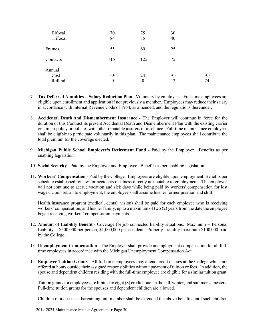| <b>Bifocal</b><br>Trifocal | 70<br>84       | 75<br>85    | 30<br>40    |             |
|----------------------------|----------------|-------------|-------------|-------------|
| Frames                     | 55             | 60          | 25          |             |
| Contacts                   | 115            | 125         | 75          |             |
| Annual<br>Cost<br>Refund   | $-0-$<br>$-0-$ | 24<br>$-0-$ | $-0-$<br>12 | $-0-$<br>24 |

- 7. **Tax Deferred Annuities -- Salary Reduction Plan** Voluntary by employees. Full-time employees are eligible upon enrollment and application if not previously a member. Employees may reduce their salary in accordance with Internal Revenue Code of 1954, as amended, and the regulations thereunder.
- 8. **Accidental Death and Dismemberment Insurance** The Employer will continue in force for the duration of this Contract its present Accidental Death and Dismemberment Plan with the existing carrier or similar policy or policies with other reputable insurers of its choice. Full-time maintenance employees shall be eligible to participate voluntarily in this plan. The maintenance employees shall contribute the total premium for the coverage elected.
- 9. **Michigan Public School Employee's Retirement Fund** Paid by the Employer. Benefits as per enabling legislation.
- 10. **Social Security** Paid by the Employer and Employee. Benefits as per enabling legislation.
- 11. **Workers' Compensation** Paid by the College. Employees are eligible upon employment. Benefits per schedule established by law for accidents or illness directly attributable to employment. The employee will not continue to accrue vacation and sick days while being paid by workers' compensation for lost wages. Upon return to employment, the employee shall assume his/her former position and shift.

Health insurance program (medical, dental, vision) shall be paid for each employee who is receiving workers' compensation, and his/her family, up to a maximum of two (2) years from the date the employee began receiving workers' compensation payments.

- 12. **Amount of Liability Benefit** Coverage for job connected liability situations. Maximum -- Personal Liability -- \$500,000 per person, \$1,000,000 per accident. Property Liability maximum \$100,000 paid by the College.
- 13. **Unemployment Compensation** The Employer shall provide unemployment compensation for all fulltime employees in accordance with the Michigan Unemployment Compensation Act.
- 14. **Employee Tuition Grants** All full-time employees may attend credit classes at the College which are offered at hours outside their assigned responsibilities without payment of tuition or fees. In addition, the spouse and dependent children residing with the full-time employee are eligible for a similar tuition grant.

Tuition grants for employees are limited to eight (8) credit hours in the fall, winter, and summer semesters. Full-time tuition grants for the spouses and dependent children are allowed.

Children of a deceased bargaining unit member shall be extended the above benefits until such children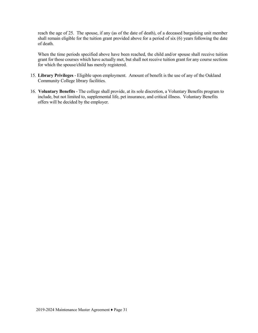reach the age of 25. The spouse, if any (as of the date of death), of a deceased bargaining unit member shall remain eligible for the tuition grant provided above for a period of six (6) years following the date of death.

When the time periods specified above have been reached, the child and/or spouse shall receive tuition grant for those courses which have actually met, but shall not receive tuition grant for any course sections for which the spouse/child has merely registered.

- 15. **Library Privileges** Eligible upon employment. Amount of benefit is the use of any of the Oakland Community College library facilities.
- 16. **Voluntary Benefits** The college shall provide, at its sole discretion, a Voluntary Benefits program to include, but not limited to, supplemental life, pet insurance, and critical illness. Voluntary Benefits offers will be decided by the employer.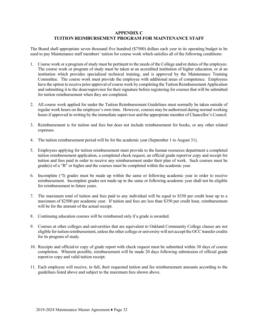#### **APPENDIX C TUITION REIMBURSEMENT PROGRAM FOR MAINTENANCE STAFF**

The Board shall appropriate seven thousand five hundred (\$7500) dollars each year in its operating budget to be used to pay Maintenance staff members' tuition for course work which satisfies all of the following conditions:

- 1. Course work or a program of study must be pertinent to the needs of the College and/or duties of the employee. The course work or program of study must be taken at an accredited institution of higher education, or at an institution which provides specialized technical training, and is approved by the Maintenance Training Committee. The course work must provide the employee with additional areas of competence. Employees have the option to receive prior approval of course work by completing the Tuition Reimbursement Application and submitting it to the dean/supervisor for their signature before registering for courses that will be submitted for tuition reimbursement when they are completed.
- 2. All course work applied for under the Tuition Reimbursement Guidelines must normally be taken outside of regular work hours on the employee's own time. However, courses may be authorized during normal working hours if approved in writing by the immediate supervisor and the appropriate member of Chancellor's Council.
- 3. Reimbursement is for tuition and fees but does not include reimbursement for books, or any other related expenses.
- 4. The tuition reimbursement period will be for the academic year (September 1 to August 31).
- 5. Employees applying for tuition reimbursement must provide to the human resources department a completed tuition reimbursement application, a completed check request, an official grade report/or copy and receipt for tuition and fees paid in order to receive any reimbursement under their plan of work. Such courses must be grade(s) of a "B" or higher and the courses must be completed within the academic year.
- 6. Incomplete ("I) grades must be made up within the same or following academic year in order to receive reimbursement. Incomplete grades not made up in the same or following academic year shall not be eligible for reimbursement in future years.
- 7. The maximum total of tuition and fees paid to any individual will be equal to \$350 per credit hour up to a maximum of \$2500 per academic year. If tuition and fees are less than \$350 per credit hour, reimbursement will be for the amount of the actual receipt.
- 8. Continuing education courses will be reimbursed only if a grade is awarded.
- 9. Courses at other colleges and universities that are equivalent to Oakland Community College classes are not eligible for tuition reimbursement, unless the other college or university will not accept the OCC transfer credits for its program of study.
- 10. Receipts and official/or copy of grade report with check request must be submitted within 30 days of course completion. Wherein possible, reimbursement will be made 20 days following submission of official grade report/or copy and valid tuition receipt.
- 11. Each employee will receive, in full, their requested tuition and fee reimbursement amounts according to the guidelines listed above and subject to the maximum fees shown above.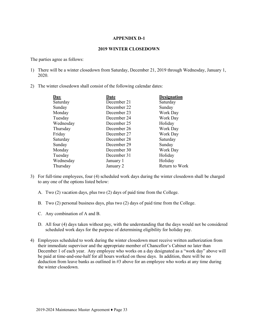#### **APPENDIX D-1**

#### **2019 WINTER CLOSEDOWN**

The parties agree as follows:

- 1) There will be a winter closedown from Saturday, December 21, 2019 through Wednesday, January 1, 2020.
- 2) The winter closedown shall consist of the following calendar dates:

| <b>Day</b> | Date        | <b>Designation</b> |
|------------|-------------|--------------------|
| Saturday   | December 21 | Saturday           |
| Sunday     | December 22 | Sunday             |
| Monday     | December 23 | Work Day           |
| Tuesday    | December 24 | Work Day           |
| Wednesday  | December 25 | Holiday            |
| Thursday   | December 26 | Work Day           |
| Friday     | December 27 | Work Day           |
| Saturday   | December 28 | Saturday           |
| Sunday     | December 29 | Sunday             |
| Monday     | December 30 | Work Day           |
| Tuesday    | December 31 | Holiday            |
| Wednesday  | January 1   | Holiday            |
| Thursday   | January 2   | Return to Work     |
|            |             |                    |

- 3) For full-time employees, four (4) scheduled work days during the winter closedown shall be charged to any one of the options listed below:
	- A. Two (2) vacation days, plus two (2) days of paid time from the College.
	- B. Two (2) personal business days, plus two (2) days of paid time from the College.
	- C. Any combination of A and B.
	- D. All four (4) days taken without pay, with the understanding that the days would not be considered scheduled work days for the purpose of determining eligibility for holiday pay.
- 4) Employees scheduled to work during the winter closedown must receive written authorization from their immediate supervisor and the appropriate member of Chancellor's Cabinet no later than December 1 of each year. Any employee who works on a day designated as a "work day" above will be paid at time-and-one-half for all hours worked on those days. In addition, there will be no deduction from leave banks as outlined in #3 above for an employee who works at any time during the winter closedown.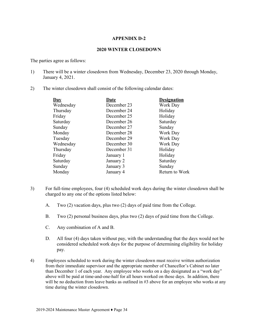#### **APPENDIX D-2**

#### **2020 WINTER CLOSEDOWN**

The parties agree as follows:

- 1) There will be a winter closedown from Wednesday, December 23, 2020 through Monday, January 4, 2021.
- 2) The winter closedown shall consist of the following calendar dates:

| Day       | Date        | <b>Designation</b> |
|-----------|-------------|--------------------|
| Wednesday | December 23 | Work Day           |
| Thursday  | December 24 | Holiday            |
| Friday    | December 25 | Holiday            |
| Saturday  | December 26 | Saturday           |
| Sunday    | December 27 | Sunday             |
| Monday    | December 28 | Work Day           |
| Tuesday   | December 29 | Work Day           |
| Wednesday | December 30 | Work Day           |
| Thursday  | December 31 | Holiday            |
| Friday    | January 1   | Holiday            |
| Saturday  | January 2   | Saturday           |
| Sunday    | January 3   | Sunday             |
| Monday    | January 4   | Return to Work     |
|           |             |                    |

- 3) For full-time employees, four (4) scheduled work days during the winter closedown shall be charged to any one of the options listed below:
	- A. Two (2) vacation days, plus two (2) days of paid time from the College.
	- B. Two (2) personal business days, plus two (2) days of paid time from the College.
	- C. Any combination of A and B.
	- D. All four (4) days taken without pay, with the understanding that the days would not be considered scheduled work days for the purpose of determining eligibility for holiday pay.
- 4) Employees scheduled to work during the winter closedown must receive written authorization from their immediate supervisor and the appropriate member of Chancellor's Cabinet no later than December 1 of each year. Any employee who works on a day designated as a "work day" above will be paid at time-and-one-half for all hours worked on those days. In addition, there will be no deduction from leave banks as outlined in #3 above for an employee who works at any time during the winter closedown.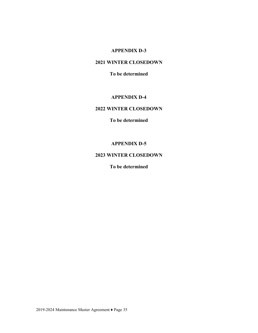#### **APPENDIX D-3**

## **2021 WINTER CLOSEDOWN**

**To be determined**

#### **APPENDIX D-4**

## **2022 WINTER CLOSEDOWN**

**To be determined**

## **APPENDIX D-5**

#### **2023 WINTER CLOSEDOWN**

**To be determined**

2019-2024 Maintenance Master Agreement ♦ Page 35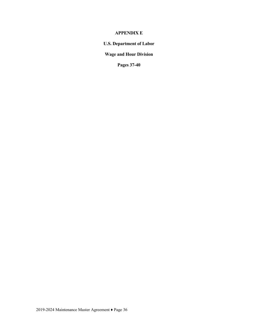#### **APPENDIX E**

#### **U.S. Department of Labor**

## **Wage and Hour Division**

**Pages 37-40**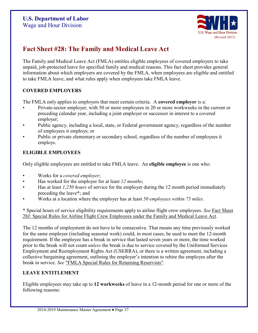

# **Fact Sheet #28: The Family and Medical Leave Act**

The Family and Medical Leave Act (FMLA) entitles eligible employees of covered employers to take unpaid, job-protected leave for specified family and medical reasons. This fact sheet provides general information about which employers are covered by the FMLA, when employees are eligible and entitled to take FMLA leave, and what rules apply when employees take FMLA leave.

## **COVERED EMPLOYERS**

The FMLA only applies to employers that meet certain criteria. A **covered employer** is a:

- Private-sector employer, with 50 or more employees in 20 or more workweeks in the current or preceding calendar year, including a joint employer or successor in interest to a covered employer;
- Public agency, including a local, state, or Federal government agency, regardless of the number of employees it employs; or
- Public or private elementary or secondary school, regardless of the number of employees it employs.

## **ELIGIBLE EMPLOYEES**

Only eligible employees are entitled to take FMLA leave. An **eligible employee** is one who:

- Works for a *covered employer*;
- Has worked for the employer for at least *12 months*;
- Has at least *1,250 hours* of service for the employer during the 12 month period immediately preceding the leave\*; and
- Works at a location where the employer has at least *50 employees within 75 miles*.

\* Special hours of service eligibility requirements apply to airline flight crew employees. *See* Fact [Sheet](http://www.dol.gov/whd/regs/compliance/whdfs28j.htm) 28J: Sp[ecial Rules for](http://www.dol.gov/whd/regs/compliance/whdfs28j.htm) Airline Flight Crew Employees under the Family and Medical Leave Act.

The 12 months of employment do not have to be consecutive. That means any time previously worked for the same employer (including seasonal work) could, in most cases, be used to meet the 12-month requirement. If the employee has a break in service that lasted seven years or more, the time worked prior to the break will not count *unless* the break is due to service covered by the Uniformed Services Employment and Reemployment Rights Act (USERRA), or there is a written agreement, including a collective bargaining agreement, outlining the employer's intention to rehire the employee after the break in service. *See* "FMLA Sp[ecial Rules for](http://www.dol.gov/whd/fmla/userra.htm) Returning Reservists".

## **LEAVE ENTITLEMENT**

Eligible employees may take up to **12 workweeks** of leave in a 12-month period for one or more of the following reasons: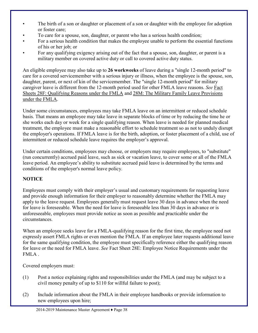- The birth of a son or daughter or placement of a son or daughter with the employee for adoption or foster care;
- To care for a spouse, son, daughter, or parent who has a serious health condition;
- For a serious health condition that makes the employee unable to perform the essential functions of his or her job; or
- For any qualifying exigency arising out of the fact that a spouse, son, daughter, or parent is a military member on covered active duty or call to covered active duty status.

An eligible employee may also take up to **26 workweeks** of leave during a "single 12-month period" to care for a covered servicemember with a serious injury or illness, when the employee is the spouse, son, daughter, parent, or next of kin of the servicemember. The "single 12-month period" for military caregiver leave is different from the 12-month period used for other FMLA leave reasons. *See* [Fact](http://www.dol.gov/whd/regs/compliance/whdfs28f.htm) [Sheets 28F: Qualifying](http://www.dol.gov/whd/regs/compliance/whdfs28f.htm) Reasons under the FMLA and [28M: The](http://www.dol.gov/whd/regs/compliance/whdfs28m.htm) Military Family Leave Provisions under the [FMLA.](http://www.dol.gov/whd/regs/compliance/whdfs28m.htm)

Under some circumstances, employees may take FMLA leave on an intermittent or reduced schedule basis. That means an employee may take leave in separate blocks of time or by reducing the time he or she works each day or week for a single qualifying reason. When leave is needed for planned medical treatment, the employee must make a reasonable effort to schedule treatment so as not to unduly disrupt the employer's operations. If FMLA leave is for the birth, adoption, or foster placement of a child, use of intermittent or reduced schedule leave requires the employer's approval.

Under certain conditions, employees may choose, or employers may require employees, to "substitute" (run concurrently) accrued paid leave, such as sick or vacation leave, to cover some or all of the FMLA leave period. An employee's ability to substitute accrued paid leave is determined by the terms and conditions of the employer's normal leave policy.

## **NOTICE**

Employees must comply with their employer's usual and customary requirements for requesting leave and provide enough information for their employer to reasonably determine whether the FMLA may apply to the leave request. Employees generally must request leave 30 days in advance when the need for leave is foreseeable. When the need for leave is foreseeable less than 30 days in advance or is unforeseeable, employees must provide notice as soon as possible and practicable under the circumstances.

When an employee seeks leave for a FMLA-qualifying reason for the first time, the employee need not expressly assert FMLA rights or even mention the FMLA. If an employee later requests additional leave for the same qualifying condition, the employee must specifically reference either the qualifying reason for leave or the need for FMLA leave. *See* [Fact Sheet 28E: Em](http://www.dol.gov/whd/regs/compliance/whdfs28e.htm)ployee Notice Requirements under the [FMLA](http://www.dol.gov/whd/regs/compliance/whdfs28e.htm) .

Covered employers must:

- (1) Post a notice explaining rights and responsibilities under the FMLA (and may be subject to a civil money penalty of up to \$110 for willful failure to post);
- (2) Include information about the FMLA in their employee handbooks or provide information to new employees upon hire;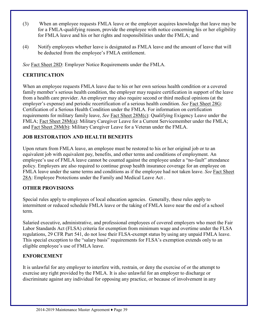- (3) When an employee requests FMLA leave or the employer acquires knowledge that leave may be for a FMLA-qualifying reason, provide the employee with notice concerning his or her eligibility for FMLA leave and his or her rights and responsibilities under the FMLA; and
- (4) Notify employees whether leave is designated as FMLA leave and the amount of leave that will be deducted from the employee's FMLA entitlement.

*See* Fact Sheet 28D: Employer Notice Requi[rements under](http://www.dol.gov/whd/regs/compliance/whdfs28d.htm) the FMLA.

## **CERTIFICATION**

When an employee requests FMLA leave due to his or her own serious health condition or a covered family member's serious health condition, the employer may require certification in support of the leave from a health care provider. An employer may also require second or third medical opinions (at the employer's expense) and periodic recertification of a serious health condition. *See* Fact [Sheet](http://www.dol.gov/whd/regs/compliance/whdfs28g.htm) 28G: Certification of a Serious Health Condition under the FMLA. For information on certification requirements for military family leave, *See* Fact [Sheet](http://www.dol.gov/whd/regs/compliance/whdfs28mc.htm) 28M(c): Qualifying Exigency Leave under the FMLA; Fact Sheet [28M\(](http://www.dol.gov/whd/regs/compliance/whdfs28ma.htm)a): Military Caregiver Leave for a Current Servicemember under the FMLA; and [Fact Sheet 28M\(b](http://www.dol.gov/whd/regs/compliance/whdfs28mb.htm)): Military Caregiver Leave for a Veteran under the FMLA.

## **JOB RESTORATION AND HEALTH BENEFITS**

Upon return from FMLA leave, an employee must be restored to his or her original job or to an equivalent job with equivalent pay, benefits, and other terms and conditions of employment. An employee's use of FMLA leave cannot be counted against the employee under a "no-fault" attendance policy. Employers are also required to continue group health insurance coverage for an employee on FMLA leave under the same terms and conditions as if the employee had not taken leave. *See* Fact [Sheet](http://www.dol.gov/whd/regs/compliance/whdfs28a.htm) 28A: Employee Protections under [the Family](http://www.dol.gov/whd/regs/compliance/whdfs28a.htm) and Medical Leave Act .

## **OTHER PROVISIONS**

Special rules apply to employees of local education agencies. Generally, these rules apply to intermittent or reduced schedule FMLA leave or the taking of FMLA leave near the end of a school term.

Salaried executive, administrative, and professional employees of covered employers who meet the Fair Labor Standards Act (FLSA) criteria for exemption from minimum wage and overtime under the FLSA regulations, 29 CFR Part 541, do not lose their FLSA-exempt status by using any unpaid FMLA leave. This special exception to the "salary basis" requirements for FLSA's exemption extends only to an eligible employee's use of FMLA leave.

## **ENFORCEMENT**

It is unlawful for any employer to interfere with, restrain, or deny the exercise of or the attempt to exercise any right provided by the FMLA. It is also unlawful for an employer to discharge or discriminate against any individual for opposing any practice, or because of involvement in any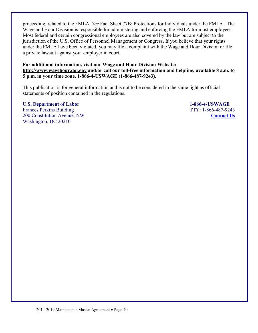proceeding, related to the FMLA. *See* Fact Sheet 77B: Protections for I[ndividuals under](http://www.dol.gov/whd/regs/compliance/whdfs77b.htm) the FMLA . The Wage and Hour Division is responsible for administering and enforcing the FMLA for most employees. Most federal and certain congressional employees are also covered by the law but are subject to the jurisdiction of the U.S. Office of Personnel Management or Congress. If you believe that your rights under the FMLA have been violated, you may file a complaint with the Wage and Hour Division or file a private lawsuit against your employer in court.

#### **For additional information, visit our Wage and Hour Division Website: [http://www.wagehour.dol.gov](http://www.wagehour.dol.gov/) and/or call our toll-free information and helpline, available 8 a.m. to 5 p.m. in your time zone, 1-866-4-USWAGE (1-866-487-9243).**

This publication is for general information and is not to be considered in the same light as official statements of position contained in the regulations.

#### **U.S. Department of Labor**

Frances Perkins Building 200 Constitution Avenue, NW Washington, DC 20210

**1-866-4-USWAGE** TTY: 1-866-487-9243 **[Contact](http://www.dol.gov/whd/contact_us.htm) Us**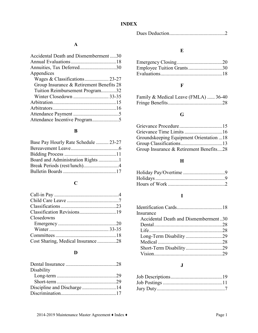|--|--|--|

## **A**

| Accidental Death and Dismemberment30     |  |
|------------------------------------------|--|
|                                          |  |
| Annuities, Tax Deferred30                |  |
| Appendices                               |  |
|                                          |  |
| Group Insurance & Retirement Benefits 28 |  |
| Tuition Reimbursement Program32          |  |
|                                          |  |
|                                          |  |
|                                          |  |
|                                          |  |
|                                          |  |

## **B**

| Base Pay Hourly Rate Schedule  23-27 |  |
|--------------------------------------|--|
|                                      |  |
|                                      |  |
| Board and Administration Rights 1    |  |
|                                      |  |
|                                      |  |

## **C**

| Closedowns                        |  |
|-----------------------------------|--|
|                                   |  |
|                                   |  |
|                                   |  |
| Cost Sharing, Medical Insurance28 |  |

## **D**

| Disability |  |
|------------|--|
|            |  |
|            |  |
|            |  |
|            |  |

## **E**

| Employee Tuition Grants30 |  |
|---------------------------|--|
|                           |  |

## **F**

| Family & Medical Leave (FMLA)  36-40 |  |
|--------------------------------------|--|
|                                      |  |

## **G**

| Groundskeeping Equipment Orientation 18 |  |
|-----------------------------------------|--|
|                                         |  |
| Group Insurance & Retirement Benefits28 |  |

## **H**

# **I**

| Insurance                            |  |
|--------------------------------------|--|
| Accidental Death and Dismemberment30 |  |
|                                      |  |
|                                      |  |
|                                      |  |
|                                      |  |
|                                      |  |
|                                      |  |
|                                      |  |

## **J**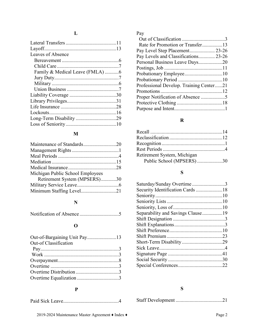## **L**

| Leaves of Absence               |  |
|---------------------------------|--|
|                                 |  |
|                                 |  |
| Family & Medical Leave (FMLA) 6 |  |
|                                 |  |
|                                 |  |
|                                 |  |
|                                 |  |
|                                 |  |
|                                 |  |
|                                 |  |
|                                 |  |
|                                 |  |
|                                 |  |

## **M**

| Maintenance of Standards20       |  |
|----------------------------------|--|
|                                  |  |
|                                  |  |
|                                  |  |
|                                  |  |
| Michigan Public School Employees |  |
| Retirement System (MPSERS)30     |  |
|                                  |  |
| Minimum Staffing Level21         |  |

## **N**

|--|--|--|

# **O**

| Out-of Classification |  |
|-----------------------|--|
|                       |  |
|                       |  |
|                       |  |
|                       |  |
|                       |  |
|                       |  |

## **P**

|--|--|

# Pay

| Rate for Promotion or Transfer13        |  |
|-----------------------------------------|--|
| Pay Level Step Placement 23-26          |  |
| Pay Levels and Classifications 23-26    |  |
| Personal Business Leave Days20          |  |
|                                         |  |
|                                         |  |
|                                         |  |
| Professional Develop. Training Center21 |  |
|                                         |  |
|                                         |  |
|                                         |  |
|                                         |  |
|                                         |  |

# **R**

| Retirement System, Michigan |  |
|-----------------------------|--|
| Public School (MPSERS) 30   |  |

# **S**

| Saturday/Sunday Overtime3         |  |
|-----------------------------------|--|
| Security Identification Cards 18  |  |
|                                   |  |
|                                   |  |
|                                   |  |
| Separability and Savings Clause19 |  |
|                                   |  |
|                                   |  |
|                                   |  |
|                                   |  |
|                                   |  |
|                                   |  |
|                                   |  |
|                                   |  |
|                                   |  |
|                                   |  |

# **S**